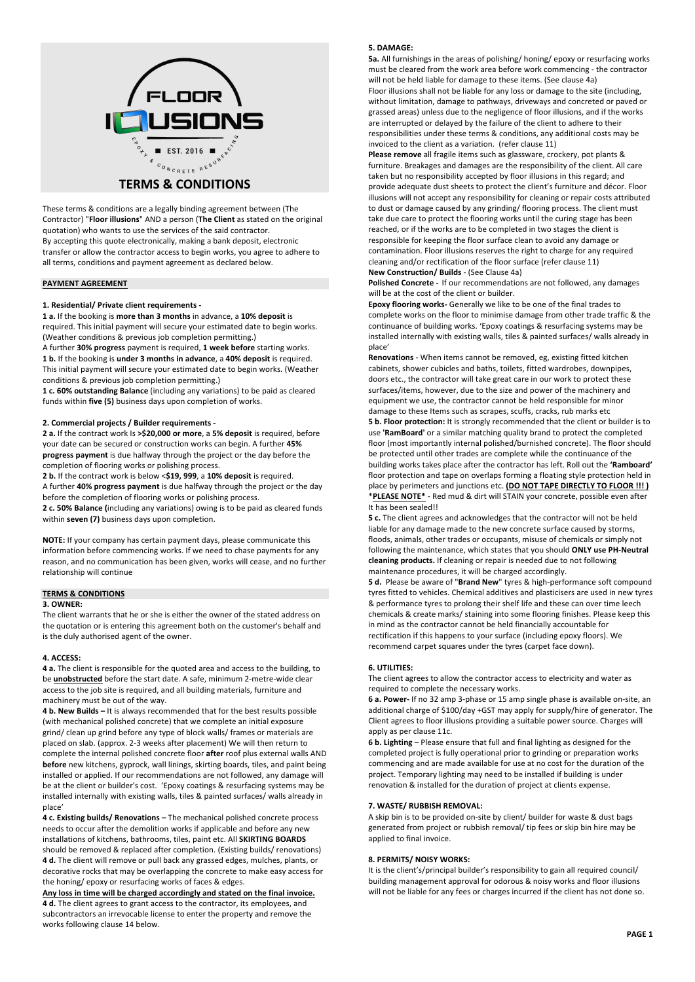

# **TERMS & CONDITIONS**

These terms & conditions are a legally binding agreement between (The Contractor) "**Floor illusions**" AND a person (**The Client** as stated on the original quotation) who wants to use the services of the said contractor. By accepting this quote electronically, making a bank deposit, electronic transfer or allow the contractor access to begin works, you agree to adhere to all terms, conditions and payment agreement as declared below.

### **PAYMENT AGREEMENT**

#### **1. Residential/ Private client requirements -**

**1 a.** If the booking is **more than 3 months** in advance, a **10% deposit** is required. This initial payment will secure your estimated date to begin works. (Weather conditions & previous job completion permitting.)

A further **30% progress** payment is required, **1 week before** starting works. **1 b.** If the booking is **under 3 months in advance**, a **40% deposit** is required. This initial payment will secure your estimated date to begin works. (Weather conditions & previous job completion permitting.)

**1 c. 60% outstanding Balance** (including any variations) to be paid as cleared funds within **five (5)** business days upon completion of works.

# **2. Commercial projects / Builder requirements -**

**2 a.** If the contract work Is **>\$20,000 or more**, a **5% deposit** is required, before your date can be secured or construction works can begin. A further **45% progress payment** is due halfway through the project or the day before the completion of flooring works or polishing process.

**2 b.** If the contract work is below <**\$19, 999**, a **10% deposit** is required. A further **40% progress payment** is due halfway through the project or the day before the completion of flooring works or polishing process.

**2 c. 50% Balance (**including any variations) owing is to be paid as cleared funds within **seven (7)** business days upon completion.

**NOTE:** If your company has certain payment days, please communicate this information before commencing works. If we need to chase payments for any reason, and no communication has been given, works will cease, and no further relationship will continue

# **TERMS & CONDITIONS**

#### **3. OWNER:**

The client warrants that he or she is either the owner of the stated address on the quotation or is entering this agreement both on the customer's behalf and is the duly authorised agent of the owner.

### **4. ACCESS:**

**4 a.** The client is responsible for the quoted area and access to the building, to be **unobstructed** before the start date. A safe, minimum 2-metre-wide clear access to the job site is required, and all building materials, furniture and machinery must be out of the way.

**4 b. New Builds –** It is always recommended that for the best results possible (with mechanical polished concrete) that we complete an initial exposure grind/ clean up grind before any type of block walls/ frames or materials are placed on slab. (approx. 2-3 weeks after placement) We will then return to complete the internal polished concrete floor **after** roof plus external walls AND **before** new kitchens, gyprock, wall linings, skirting boards, tiles, and paint being installed or applied. If our recommendations are not followed, any damage will be at the client or builder's cost. 'Epoxy coatings & resurfacing systems may be installed internally with existing walls, tiles & painted surfaces/ walls already in place'

**4 c. Existing builds/ Renovations –** The mechanical polished concrete process needs to occur after the demolition works if applicable and before any new installations of kitchens, bathrooms, tiles, paint etc. All **SKIRTING BOARDS** should be removed & replaced after completion. (Existing builds/ renovations) **4 d.** The client will remove or pull back any grassed edges, mulches, plants, or decorative rocks that may be overlapping the concrete to make easy access for the honing/ epoxy or resurfacing works of faces & edges.

**Any loss in time will be charged accordingly and stated on the final invoice. 4 d.** The client agrees to grant access to the contractor, its employees, and subcontractors an irrevocable license to enter the property and remove the works following clause 14 below.

#### **5. DAMAGE:**

**5a.** All furnishings in the areas of polishing/ honing/ epoxy or resurfacing works must be cleared from the work area before work commencing - the contractor will not be held liable for damage to these items. (See clause 4a) Floor illusions shall not be liable for any loss or damage to the site (including, without limitation, damage to pathways, driveways and concreted or paved or grassed areas) unless due to the negligence of floor illusions, and if the works are interrupted or delayed by the failure of the client to adhere to their responsibilities under these terms & conditions, any additional costs may be invoiced to the client as a variation. (refer clause 11)

**Please remove** all fragile items such as glassware, crockery, pot plants & furniture. Breakages and damages are the responsibility of the client. All care taken but no responsibility accepted by floor illusions in this regard; and provide adequate dust sheets to protect the client's furniture and décor. Floor illusions will not accept any responsibility for cleaning or repair costs attributed to dust or damage caused by any grinding/ flooring process. The client must take due care to protect the flooring works until the curing stage has been reached, or if the works are to be completed in two stages the client is responsible for keeping the floor surface clean to avoid any damage or contamination. Floor illusions reserves the right to charge for any required cleaning and/or rectification of the floor surface (refer clause 11) **New Construction/ Builds** - (See Clause 4a)

**Polished Concrete -** If our recommendations are not followed, any damages will be at the cost of the client or builder.

**Epoxy flooring works-** Generally we like to be one of the final trades to complete works on the floor to minimise damage from other trade traffic & the continuance of building works. 'Epoxy coatings & resurfacing systems may be installed internally with existing walls, tiles & painted surfaces/ walls already in place'

**Renovations** - When items cannot be removed, eg, existing fitted kitchen cabinets, shower cubicles and baths, toilets, fitted wardrobes, downpipes, doors etc., the contractor will take great care in our work to protect these surfaces/items, however, due to the size and power of the machinery and equipment we use, the contractor cannot be held responsible for minor damage to these Items such as scrapes, scuffs, cracks, rub marks etc

**5 b. Floor protection:** It is strongly recommended that the client or builder is to use **'RamBoard'** or a similar matching quality brand to protect the completed floor (most importantly internal polished/burnished concrete). The floor should be protected until other trades are complete while the continuance of the building works takes place after the contractor has left. Roll out the **'Ramboard'** floor protection and tape on overlaps forming a floating style protection held in place by perimeters and junctions etc. **(DO NOT TAPE DIRECTLY TO FLOOR !!! )** \***PLEASE NOTE\*** - Red mud & dirt will STAIN your concrete, possible even after It has been sealed!!

**5 c.** The client agrees and acknowledges that the contractor will not be held liable for any damage made to the new concrete surface caused by storms, floods, animals, other trades or occupants, misuse of chemicals or simply not following the maintenance, which states that you should **ONLY use PH-Neutral cleaning products.** If cleaning or repair is needed due to not following maintenance procedures, it will be charged accordingly.

**5 d.** Please be aware of "**Brand New**" tyres & high-performance soft compound tyres fitted to vehicles. Chemical additives and plasticisers are used in new tyres & performance tyres to prolong their shelf life and these can over time leech chemicals & create marks/ staining into some flooring finishes. Please keep this in mind as the contractor cannot be held financially accountable for rectification if this happens to your surface (including epoxy floors). We recommend carpet squares under the tyres (carpet face down).

#### **6. UTILITIES:**

The client agrees to allow the contractor access to electricity and water as required to complete the necessary works.

**6 a. Power-** If no 32 amp 3-phase or 15 amp single phase is available on-site, an additional charge of \$100/day +GST may apply for supply/hire of generator. The Client agrees to floor illusions providing a suitable power source. Charges will apply as per clause 11c.

**6 b. Lighting** – Please ensure that full and final lighting as designed for the completed project is fully operational prior to grinding or preparation works commencing and are made available for use at no cost for the duration of the project. Temporary lighting may need to be installed if building is under renovation & installed for the duration of project at clients expense.

#### **7. WASTE/ RUBBISH REMOVAL:**

A skip bin is to be provided on-site by client/ builder for waste & dust bags generated from project or rubbish removal/ tip fees or skip bin hire may be applied to final invoice.

#### **8. PERMITS/ NOISY WORKS:**

It is the client's/principal builder's responsibility to gain all required council/ building management approval for odorous & noisy works and floor illusions will not be liable for any fees or charges incurred if the client has not done so.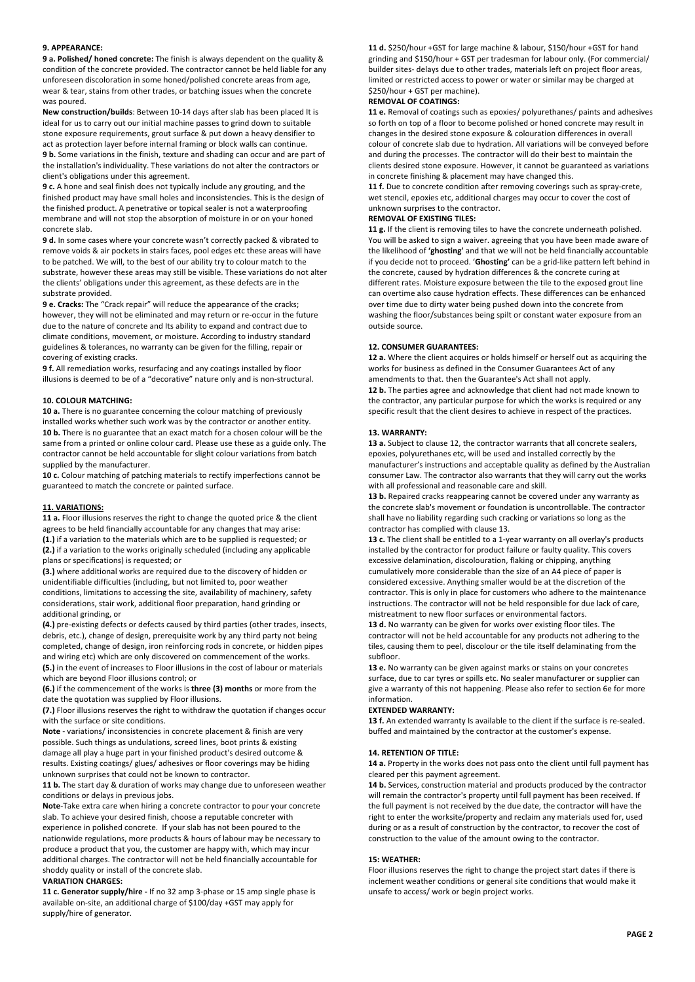# **9. APPEARANCE:**

**9 a. Polished/ honed concrete:** The finish is always dependent on the quality & condition of the concrete provided. The contractor cannot be held liable for any unforeseen discoloration in some honed/polished concrete areas from age, wear & tear, stains from other trades, or batching issues when the concrete was poured.

**New construction/builds**: Between 10-14 days after slab has been placed It is ideal for us to carry out our initial machine passes to grind down to suitable stone exposure requirements, grout surface & put down a heavy densifier to act as protection layer before internal framing or block walls can continue. **9 b.** Some variations in the finish, texture and shading can occur and are part of the installation's individuality. These variations do not alter the contractors or client's obligations under this agreement.

**9 c.** A hone and seal finish does not typically include any grouting, and the finished product may have small holes and inconsistencies. This is the design of the finished product. A penetrative or topical sealer is not a waterproofing membrane and will not stop the absorption of moisture in or on your honed concrete slab.

**9 d.** In some cases where your concrete wasn't correctly packed & vibrated to remove voids & air pockets in stairs faces, pool edges etc these areas will have to be patched. We will, to the best of our ability try to colour match to the substrate, however these areas may still be visible. These variations do not alter the clients' obligations under this agreement, as these defects are in the substrate provided.

**9 e. Cracks:** The "Crack repair" will reduce the appearance of the cracks; however, they will not be eliminated and may return or re-occur in the future due to the nature of concrete and Its ability to expand and contract due to climate conditions, movement, or moisture. According to industry standard guidelines & tolerances, no warranty can be given for the filling, repair or covering of existing cracks.

**9 f.** All remediation works, resurfacing and any coatings installed by floor illusions is deemed to be of a "decorative" nature only and is non-structural.

#### **10. COLOUR MATCHING:**

**10 a.** There is no guarantee concerning the colour matching of previously installed works whether such work was by the contractor or another entity. **10 b.** There is no guarantee that an exact match for a chosen colour will be the same from a printed or online colour card. Please use these as a guide only. The contractor cannot be held accountable for slight colour variations from batch supplied by the manufacturer.

**10 c.** Colour matching of patching materials to rectify imperfections cannot be guaranteed to match the concrete or painted surface.

#### **11. VARIATIONS:**

**11 a.** Floor illusions reserves the right to change the quoted price & the client agrees to be held financially accountable for any changes that may arise:

**(1.)** if a variation to the materials which are to be supplied is requested; or **(2.)** if a variation to the works originally scheduled (including any applicable plans or specifications) is requested; or

**(3.)** where additional works are required due to the discovery of hidden or unidentifiable difficulties (including, but not limited to, poor weather conditions, limitations to accessing the site, availability of machinery, safety considerations, stair work, additional floor preparation, hand grinding or additional grinding, or

**(4.)** pre-existing defects or defects caused by third parties (other trades, insects, debris, etc.), change of design, prerequisite work by any third party not being completed, change of design, iron reinforcing rods in concrete, or hidden pipes and wiring etc) which are only discovered on commencement of the works. **(5.)** in the event of increases to Floor illusions in the cost of labour or materials which are beyond Floor illusions control; or

**(6.)** if the commencement of the works is **three (3) months** or more from the date the quotation was supplied by Floor illusions.

**(7.)** Floor illusions reserves the right to withdraw the quotation if changes occur with the surface or site conditions.

**Note** - variations/ inconsistencies in concrete placement & finish are very possible. Such things as undulations, screed lines, boot prints & existing damage all play a huge part in your finished product's desired outcome & results. Existing coatings/ glues/ adhesives or floor coverings may be hiding unknown surprises that could not be known to contractor.

**11 b.** The start day & duration of works may change due to unforeseen weather conditions or delays in previous jobs.

**Note**-Take extra care when hiring a concrete contractor to pour your concrete slab. To achieve your desired finish, choose a reputable concreter with experience in polished concrete. If your slab has not been poured to the nationwide regulations, more products & hours of labour may be necessary to produce a product that you, the customer are happy with, which may incur additional charges. The contractor will not be held financially accountable for shoddy quality or install of the concrete slab.

#### **VARIATION CHARGES:**

**11 c. Generator supply/hire -** If no 32 amp 3-phase or 15 amp single phase is available on-site, an additional charge of \$100/day +GST may apply for supply/hire of generator.

**11 d.** \$250/hour +GST for large machine & labour, \$150/hour +GST for hand grinding and \$150/hour + GST per tradesman for labour only. (For commercial/ builder sites- delays due to other trades, materials left on project floor areas, limited or restricted access to power or water or similar may be charged at \$250/hour + GST per machine).

#### **REMOVAL OF COATINGS:**

**11 e.** Removal of coatings such as epoxies/ polyurethanes/ paints and adhesives so forth on top of a floor to become polished or honed concrete may result in changes in the desired stone exposure & colouration differences in overall colour of concrete slab due to hydration. All variations will be conveyed before and during the processes. The contractor will do their best to maintain the clients desired stone exposure. However, it cannot be guaranteed as variations in concrete finishing & placement may have changed this.

**11 f.** Due to concrete condition after removing coverings such as spray-crete, wet stencil, epoxies etc, additional charges may occur to cover the cost of unknown surprises to the contractor.

# **REMOVAL OF EXISTING TILES:**

**11 g.** If the client is removing tiles to have the concrete underneath polished. You will be asked to sign a waiver. agreeing that you have been made aware of the likelihood of **'ghosting'** and that we will not be held financially accountable if you decide not to proceed. '**Ghosting'** can be a grid-like pattern left behind in the concrete, caused by hydration differences & the concrete curing at different rates. Moisture exposure between the tile to the exposed grout line can overtime also cause hydration effects. These differences can be enhanced over time due to dirty water being pushed down into the concrete from washing the floor/substances being spilt or constant water exposure from an outside source.

#### **12. CONSUMER GUARANTEES:**

**12 a.** Where the client acquires or holds himself or herself out as acquiring the works for business as defined in the Consumer Guarantees Act of any amendments to that. then the Guarantee's Act shall not apply. **12 b.** The parties agree and acknowledge that client had not made known to the contractor, any particular purpose for which the works is required or any specific result that the client desires to achieve in respect of the practices.

#### **13. WARRANTY:**

**13 a.** Subject to clause 12, the contractor warrants that all concrete sealers, epoxies, polyurethanes etc, will be used and installed correctly by the manufacturer's instructions and acceptable quality as defined by the Australian consumer Law. The contractor also warrants that they will carry out the works with all professional and reasonable care and skill.

**13 b.** Repaired cracks reappearing cannot be covered under any warranty as the concrete slab's movement or foundation is uncontrollable. The contractor shall have no liability regarding such cracking or variations so long as the contractor has complied with clause 13.

**13 c.** The client shall be entitled to a 1-year warranty on all overlay's products installed by the contractor for product failure or faulty quality. This covers excessive delamination, discolouration, flaking or chipping, anything cumulatively more considerable than the size of an A4 piece of paper is considered excessive. Anything smaller would be at the discretion of the contractor. This is only in place for customers who adhere to the maintenance instructions. The contractor will not be held responsible for due lack of care, mistreatment to new floor surfaces or environmental factors.

**13 d.** No warranty can be given for works over existing floor tiles. The contractor will not be held accountable for any products not adhering to the tiles, causing them to peel, discolour or the tile itself delaminating from the subfloor.

**13 e.** No warranty can be given against marks or stains on your concretes surface, due to car tyres or spills etc. No sealer manufacturer or supplier can give a warranty of this not happening. Please also refer to section 6e for more information.

#### **EXTENDED WARRANTY:**

**13 f.** An extended warranty Is available to the client if the surface is re-sealed. buffed and maintained by the contractor at the customer's expense.

#### **14. RETENTION OF TITLE:**

**14 a.** Property in the works does not pass onto the client until full payment has cleared per this payment agreement.

**14 b.** Services, construction material and products produced by the contractor will remain the contractor's property until full payment has been received. If the full payment is not received by the due date, the contractor will have the right to enter the worksite/property and reclaim any materials used for, used during or as a result of construction by the contractor, to recover the cost of construction to the value of the amount owing to the contractor.

#### **15: WEATHER:**

Floor illusions reserves the right to change the project start dates if there is inclement weather conditions or general site conditions that would make it unsafe to access/ work or begin project works.